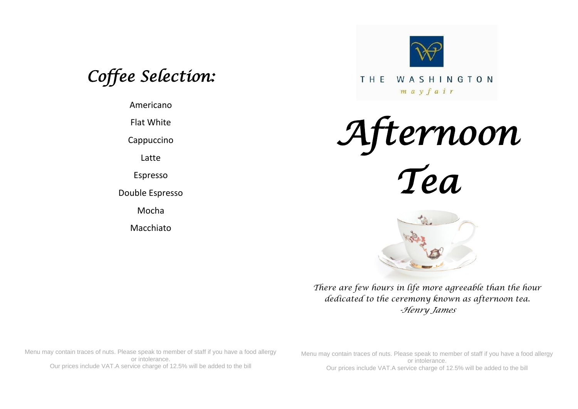*Coffee Selection:* 

Americano

Flat White

Cappuccino

Latte

Espresso

Double Espresso

Mocha

Macchiato



THE WASHINGTON  $m a y f a i r$ 





*There are few hours in life more agreeable than the hour dedicated to the ceremony known as afternoon tea. -Henry James*

Menu may contain traces of nuts. Please speak to member of staff if you have a food allergy or intolerance. Our prices include VAT.A service charge of 12.5% will be added to the bill

Menu may contain traces of nuts. Please speak to member of staff if you have a food allergy or intolerance. Our prices include VAT.A service charge of 12.5% will be added to the bill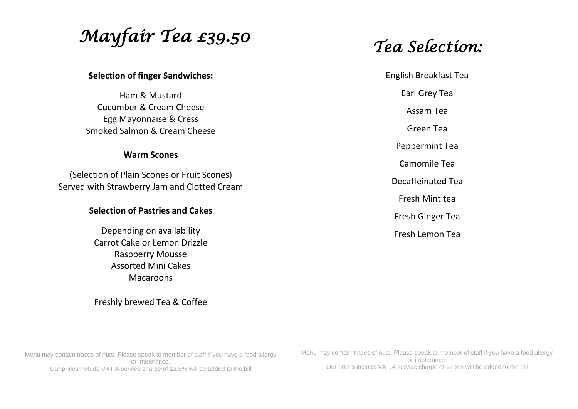*Mayfair Tea £39.50* 

#### **Selection of finger Sandwiches:**

Ham & Mustard Cucumber & Cream Cheese Egg Mayonnaise & Cress Smoked Salmon & Cream Cheese

#### **Warm Scones**

(Selection of Plain Scones or Fruit Scones) Served with Strawberry Jam and Clotted Cream

### **Selection of Pastries and Cakes**

Depending on availability Carrot Cake or Lemon Drizzle Raspberry Mousse Assorted Mini Cakes Macaroons

#### Freshly brewed Tea & Coffee

*Tea Selection:* 

English Breakfast Tea Earl Grey Tea Assam Tea Green Tea Peppermint Tea Camomile Tea Decaffeinated Tea Fresh Mint tea Fresh Ginger Tea Fresh Lemon Tea

Menu may contain traces of nuts. Please speak to member of staff if you have a food allergy or intolerance. Our prices include VAT.A service charge of 12.5% will be added to the bill

Menu may contain traces of nuts. Please speak to member of staff if you have a food allergy or intolerance. Our prices include VAT.A service charge of 12.5% will be added to the bill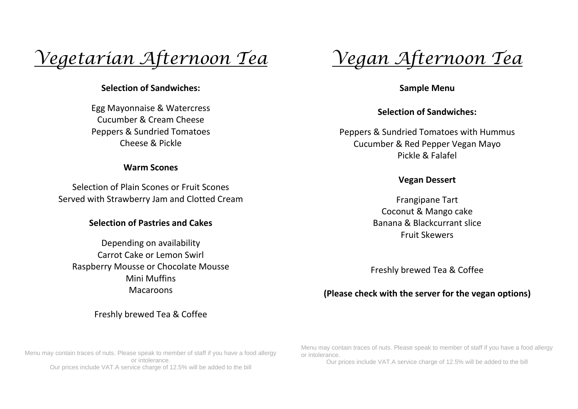# *Vegetarian Afternoon Tea*

## **Selection of Sandwiches:**

Egg Mayonnaise & Watercress Cucumber & Cream Cheese Peppers & Sundried Tomatoes Cheese & Pickle

#### **Warm Scones**

Selection of Plain Scones or Fruit Scones Served with Strawberry Jam and Clotted Cream

### **Selection of Pastries and Cakes**

Depending on availability Carrot Cake or Lemon Swirl Raspberry Mousse or Chocolate Mousse Mini Muffins Macaroons

Freshly brewed Tea & Coffee

Menu may contain traces of nuts. Please speak to member of staff if you have a food allergy or intolerance. Our prices include VAT.A service charge of 12.5% will be added to the bill

*Vegan Afternoon Tea*

**Sample Menu**

**Selection of Sandwiches:**

Peppers & Sundried Tomatoes with Hummus Cucumber & Red Pepper Vegan Mayo Pickle & Falafel

### **Vegan Dessert**

Frangipane Tart Coconut & Mango cake Banana & Blackcurrant slice Fruit Skewers

Freshly brewed Tea & Coffee

## **(Please check with the server for the vegan options)**

Menu may contain traces of nuts. Please speak to member of staff if you have a food allergy or intolerance.

Our prices include VAT.A service charge of 12.5% will be added to the bill